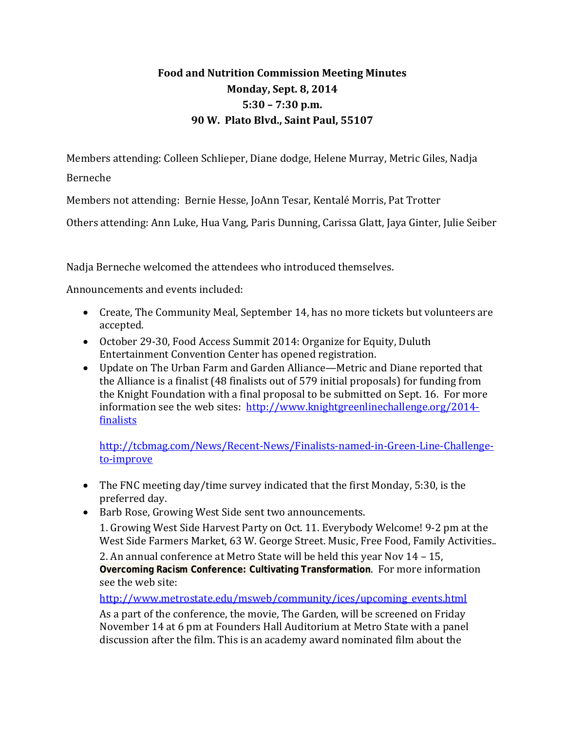## **Food and Nutrition Commission Meeting Minutes Monday, Sept. 8, 2014 5:30 – 7:30 p.m. 90 W. Plato Blvd., Saint Paul, 55107**

Members attending: Colleen Schlieper, Diane dodge, Helene Murray, Metric Giles, Nadja

Berneche 

Members not attending: Bernie Hesse, JoAnn Tesar, Kentalé Morris, Pat Trotter

Others attending: Ann Luke, Hua Vang, Paris Dunning, Carissa Glatt, Jaya Ginter, Julie Seiber

Nadja Berneche welcomed the attendees who introduced themselves.

Announcements and events included:

- Create, The Community Meal, September 14, has no more tickets but volunteers are accepted.
- October 29-30, Food Access Summit 2014: Organize for Equity, Duluth Entertainment Convention Center has opened registration.
- Update on The Urban Farm and Garden Alliance—Metric and Diane reported that the Alliance is a finalist (48 finalists out of 579 initial proposals) for funding from the Knight Foundation with a final proposal to be submitted on Sept. 16. For more information see the web sites:  $\frac{http://www.knightgreenline challenge.org/2014-10}{http://www.knightgreenlinechallenge.org/2014-10}$ finalists

http://tcbmag.com/News/Recent‐News/Finalists‐named‐in‐Green‐Line‐Challenge‐ to‐improve

- The FNC meeting day/time survey indicated that the first Monday, 5:30, is the preferred day.
- Barb Rose, Growing West Side sent two announcements.

1. Growing West Side Harvest Party on Oct. 11. Everybody Welcome! 9-2 pm at the West Side Farmers Market, 63 W. George Street. Music, Free Food, Family Activities..

2. An annual conference at Metro State will be held this year Nov  $14 - 15$ , **Overcoming Racism Conference: Cultivating Transformation.** For more information see the web site:

http://www.metrostate.edu/msweb/community/ices/upcoming\_events.html

As a part of the conference, the movie, The Garden, will be screened on Friday November 14 at 6 pm at Founders Hall Auditorium at Metro State with a panel discussion after the film. This is an academy award nominated film about the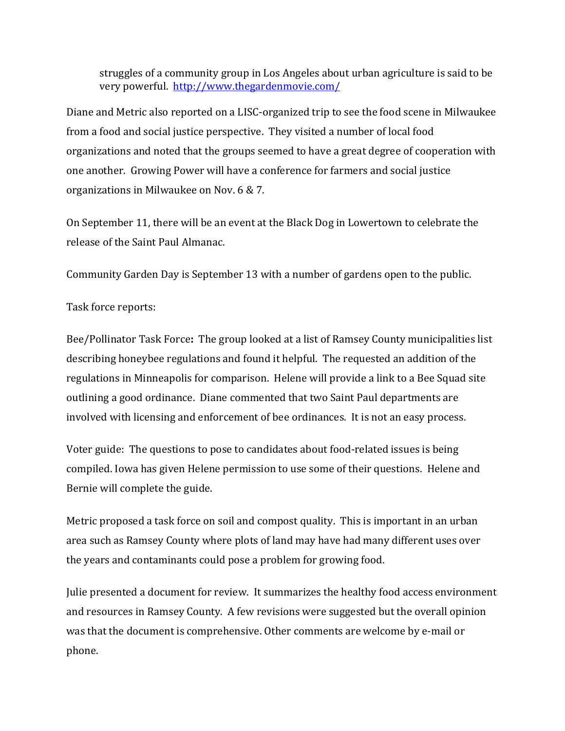struggles of a community group in Los Angeles about urban agriculture is said to be very powerful. http://www.thegardenmovie.com/

Diane and Metric also reported on a LISC-organized trip to see the food scene in Milwaukee from a food and social justice perspective. They visited a number of local food organizations and noted that the groups seemed to have a great degree of cooperation with one another. Growing Power will have a conference for farmers and social justice organizations in Milwaukee on Nov.  $6 & 7$ .

On September 11, there will be an event at the Black Dog in Lowertown to celebrate the release of the Saint Paul Almanac.

Community Garden Day is September 13 with a number of gardens open to the public.

Task force reports:

Bee/Pollinator Task Force: The group looked at a list of Ramsey County municipalities list describing honeybee regulations and found it helpful. The requested an addition of the regulations in Minneapolis for comparison. Helene will provide a link to a Bee Squad site outlining a good ordinance. Diane commented that two Saint Paul departments are involved with licensing and enforcement of bee ordinances. It is not an easy process.

Voter guide: The questions to pose to candidates about food-related issues is being compiled. Iowa has given Helene permission to use some of their questions. Helene and Bernie will complete the guide.

Metric proposed a task force on soil and compost quality. This is important in an urban area such as Ramsey County where plots of land may have had many different uses over the years and contaminants could pose a problem for growing food.

Julie presented a document for review. It summarizes the healthy food access environment and resources in Ramsey County. A few revisions were suggested but the overall opinion was that the document is comprehensive. Other comments are welcome by e-mail or phone.